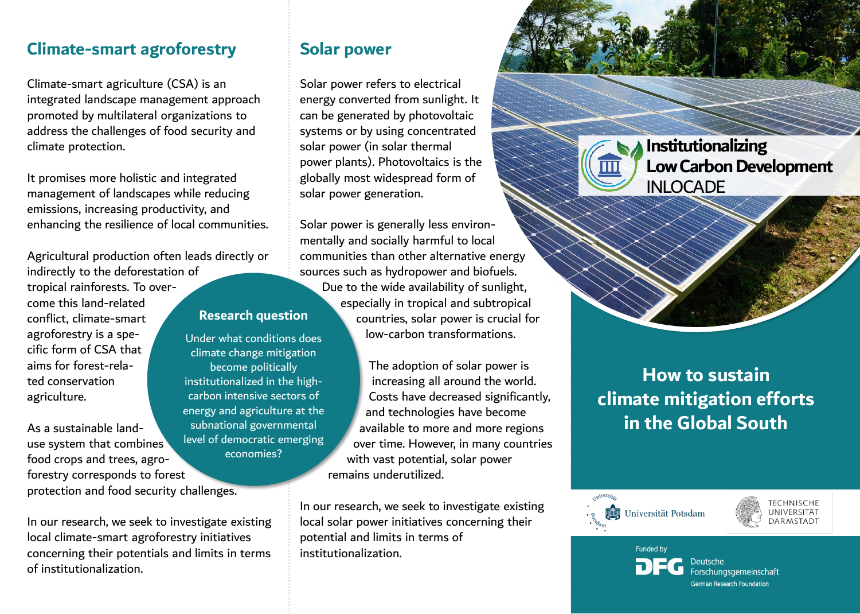## **Climate-smart agroforestry**

Climate-smart agriculture (CSA) is an integrated landscape management approach promoted by multilateral organizations to address the challenges of food security and climate protection.

It promises more holistic and integrated management of landscapes while reducing emissions, increasing productivity, and enhancing the resilience of local communities.

Agricultural production often leads directly or indirectly to the deforestation of tropical rainforests. To overcome this land-related conflict, climate-smart agroforestry is a specific form of CSA that aims for forest-related conservation agriculture.

As a sustainable landuse system that combines food crops and trees, agroforestry corresponds to forest protection and food security challenges.

In our research, we seek to investigate existing local climate-smart agroforestry initiatives concerning their potentials and limits in terms of institutionalization.

## **Solar power**

Solar power refers to electrical energy converted from sunlight. It can be generated by photovoltaic systems or by using concentrated solar power (in solar thermal power plants). Photovoltaics is the globally most widespread form of solar power generation.

Solar power is generally less environmentally and socially harmful to local communities than other alternative energy sources such as hydropower and biofuels. Due to the wide availability of sunlight, especially in tropical and subtropical countries, solar power is crucial for low-carbon transformations.

> The adoption of solar power is increasing all around the world. Costs have decreased significantly, and technologies have become available to more and more regions over time. However, in many countries with vast potential, solar power remains underutilized.

In our research, we seek to investigate existing local solar power initiatives concerning their potential and limits in terms of institutionalization.

**Institutionalizing Low Carbon Development** INLOCADE

**How to sustain climate mitigation efforts in the Global South**





Funded by eutsche ( Forschungsgemeinschaft German Research Foundation

### **Research question**

Under what conditions does climate change mitigation become politically institutionalized in the highcarbon intensive sectors of energy and agriculture at the subnational governmental level of democratic emerging economies?